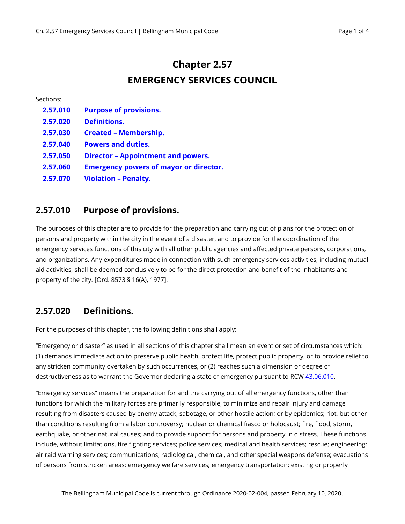# **Chapter 2.57 EMERGENCY SERVICES COUNCIL**

#### Sections:

- **2.57.020 [Definitions.](#page-0-1)**
- **2.57.030 Created [– Membership.](#page-1-0)**
- **2.57.040 [Powers and duties.](#page-1-1)**
- **2.57.050 Director [– Appointment and powers.](#page-1-2)**
- **2.57.060 [Emergency powers of mayor or director.](#page-2-0)**
- **2.57.070 Violation [– Penalty.](#page-3-0)**

### <span id="page-0-0"></span>**2.57.010 Purpose of provisions.**

The purposes of this chapter are to provide for the preparation and carrying out of plans for the protection of persons and property within the city in the event of a disaster, and to provide for the coordination of the emergency services functions of this city with all other public agencies and affected private persons, corporations, and organizations. Any expenditures made in connection with such emergency services activities, including mutual aid activities, shall be deemed conclusively to be for the direct protection and benefit of the inhabitants and property of the city. [Ord. 8573 § 16(A), 1977].

### <span id="page-0-1"></span>**2.57.020 Definitions.**

For the purposes of this chapter, the following definitions shall apply:

"Emergency or disaster" as used in all sections of this chapter shall mean an event or set of circumstances which: (1) demands immediate action to preserve public health, protect life, protect public property, or to provide relief to any stricken community overtaken by such occurrences, or (2) reaches such a dimension or degree of destructiveness as to warrant the Governor declaring a state of emergency pursuant to RCW [43.06.010.](https://bellingham.municipal.codes/WA/RCW/43.06.010)

"Emergency services" means the preparation for and the carrying out of all emergency functions, other than functions for which the military forces are primarily responsible, to minimize and repair injury and damage resulting from disasters caused by enemy attack, sabotage, or other hostile action; or by epidemics; riot, but other than conditions resulting from a labor controversy; nuclear or chemical fiasco or holocaust; fire, flood, storm, earthquake, or other natural causes; and to provide support for persons and property in distress. These functions include, without limitations, fire fighting services; police services; medical and health services; rescue; engineering; air raid warning services; communications; radiological, chemical, and other special weapons defense; evacuations of persons from stricken areas; emergency welfare services; emergency transportation; existing or properly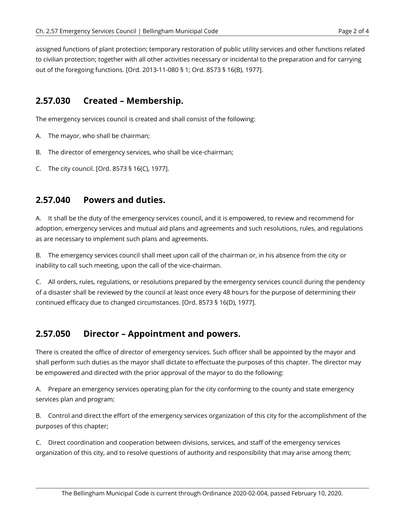assigned functions of plant protection; temporary restoration of public utility services and other functions related to civilian protection; together with all other activities necessary or incidental to the preparation and for carrying out of the foregoing functions. [Ord. 2013-11-080 § 1; Ord. 8573 § 16(B), 1977].

# <span id="page-1-0"></span>**2.57.030 Created – Membership.**

The emergency services council is created and shall consist of the following:

- A. The mayor, who shall be chairman;
- B. The director of emergency services, who shall be vice-chairman;
- C. The city council. [Ord. 8573 § 16(C), 1977].

### <span id="page-1-1"></span>**2.57.040 Powers and duties.**

A. It shall be the duty of the emergency services council, and it is empowered, to review and recommend for adoption, emergency services and mutual aid plans and agreements and such resolutions, rules, and regulations as are necessary to implement such plans and agreements.

B. The emergency services council shall meet upon call of the chairman or, in his absence from the city or inability to call such meeting, upon the call of the vice-chairman.

C. All orders, rules, regulations, or resolutions prepared by the emergency services council during the pendency of a disaster shall be reviewed by the council at least once every 48 hours for the purpose of determining their continued efficacy due to changed circumstances. [Ord. 8573 § 16(D), 1977].

## <span id="page-1-2"></span>**2.57.050 Director – Appointment and powers.**

There is created the office of director of emergency services. Such officer shall be appointed by the mayor and shall perform such duties as the mayor shall dictate to effectuate the purposes of this chapter. The director may be empowered and directed with the prior approval of the mayor to do the following:

A. Prepare an emergency services operating plan for the city conforming to the county and state emergency services plan and program;

B. Control and direct the effort of the emergency services organization of this city for the accomplishment of the purposes of this chapter;

C. Direct coordination and cooperation between divisions, services, and staff of the emergency services organization of this city, and to resolve questions of authority and responsibility that may arise among them;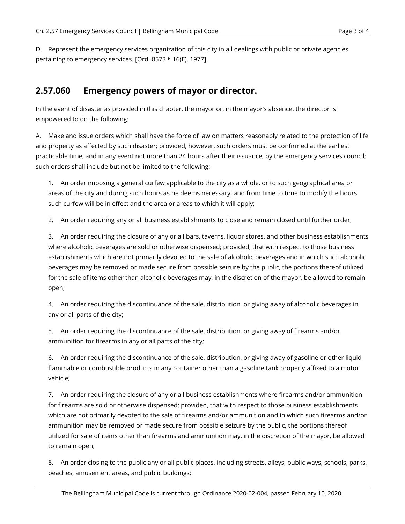D. Represent the emergency services organization of this city in all dealings with public or private agencies pertaining to emergency services. [Ord. 8573 § 16(E), 1977].

### <span id="page-2-0"></span>**2.57.060 Emergency powers of mayor or director.**

In the event of disaster as provided in this chapter, the mayor or, in the mayor's absence, the director is empowered to do the following:

A. Make and issue orders which shall have the force of law on matters reasonably related to the protection of life and property as affected by such disaster; provided, however, such orders must be confirmed at the earliest practicable time, and in any event not more than 24 hours after their issuance, by the emergency services council; such orders shall include but not be limited to the following:

1. An order imposing a general curfew applicable to the city as a whole, or to such geographical area or areas of the city and during such hours as he deems necessary, and from time to time to modify the hours such curfew will be in effect and the area or areas to which it will apply;

2. An order requiring any or all business establishments to close and remain closed until further order;

3. An order requiring the closure of any or all bars, taverns, liquor stores, and other business establishments where alcoholic beverages are sold or otherwise dispensed; provided, that with respect to those business establishments which are not primarily devoted to the sale of alcoholic beverages and in which such alcoholic beverages may be removed or made secure from possible seizure by the public, the portions thereof utilized for the sale of items other than alcoholic beverages may, in the discretion of the mayor, be allowed to remain open;

4. An order requiring the discontinuance of the sale, distribution, or giving away of alcoholic beverages in any or all parts of the city;

5. An order requiring the discontinuance of the sale, distribution, or giving away of firearms and/or ammunition for firearms in any or all parts of the city;

6. An order requiring the discontinuance of the sale, distribution, or giving away of gasoline or other liquid flammable or combustible products in any container other than a gasoline tank properly affixed to a motor vehicle;

7. An order requiring the closure of any or all business establishments where firearms and/or ammunition for firearms are sold or otherwise dispensed; provided, that with respect to those business establishments which are not primarily devoted to the sale of firearms and/or ammunition and in which such firearms and/or ammunition may be removed or made secure from possible seizure by the public, the portions thereof utilized for sale of items other than firearms and ammunition may, in the discretion of the mayor, be allowed to remain open;

8. An order closing to the public any or all public places, including streets, alleys, public ways, schools, parks, beaches, amusement areas, and public buildings;